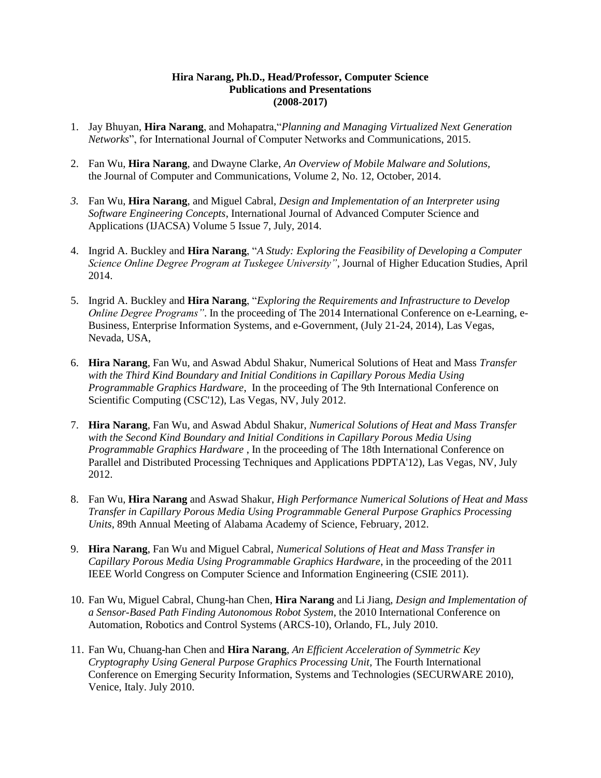## **Hira Narang, Ph.D., Head/Professor, Computer Science Publications and Presentations (2008-2017)**

- 1. Jay Bhuyan, **Hira Narang**, and Mohapatra,"*Planning and Managing Virtualized Next Generation Networks*", for International Journal of Computer Networks and Communications, 2015.
- 2. Fan Wu, **Hira Narang**, and Dwayne Clarke, *An Overview of Mobile Malware and Solutions,* the Journal of Computer and Communications, Volume 2, No. 12, October, 2014.
- *3.* Fan Wu, **Hira Narang**, and Miguel Cabral, *Design and Implementation of an Interpreter using Software Engineering Concepts*, International Journal of Advanced Computer Science and Applications (IJACSA) Volume 5 Issue 7, July, 2014.
- 4. Ingrid A. Buckley and **Hira Narang**, "*A Study: Exploring the Feasibility of Developing a Computer Science Online Degree Program at Tuskegee University"*, Journal of Higher Education Studies, April 2014.
- 5. Ingrid A. Buckley and **Hira Narang**, "*Exploring the Requirements and Infrastructure to Develop Online Degree Programs"*. In the proceeding of The 2014 International Conference on e-Learning, e-Business, Enterprise Information Systems, and e-Government, (July 21-24, 2014), Las Vegas, Nevada, USA,
- 6. **Hira Narang**, Fan Wu, and Aswad Abdul Shakur, Numerical Solutions of Heat and Mass *Transfer with the Third Kind Boundary and Initial Conditions in Capillary Porous Media Using Programmable Graphics Hardware*, In the proceeding of The 9th International Conference on Scientific Computing (CSC'12), Las Vegas, NV, July 2012.
- 7. **Hira Narang**, Fan Wu, and Aswad Abdul Shakur, *Numerical Solutions of Heat and Mass Transfer with the Second Kind Boundary and Initial Conditions in Capillary Porous Media Using Programmable Graphics Hardware* , In the proceeding of The 18th International Conference on Parallel and Distributed Processing Techniques and Applications PDPTA'12), Las Vegas, NV, July 2012.
- 8. Fan Wu, **Hira Narang** and Aswad Shakur, *High Performance Numerical Solutions of Heat and Mass Transfer in Capillary Porous Media Using Programmable General Purpose Graphics Processing Units*, 89th Annual Meeting of Alabama Academy of Science, February, 2012.
- 9. **Hira Narang**, Fan Wu and Miguel Cabral, *Numerical Solutions of Heat and Mass Transfer in Capillary Porous Media Using Programmable Graphics Hardware*, in the proceeding of the 2011 IEEE World Congress on Computer Science and Information Engineering (CSIE 2011).
- 10. Fan Wu, Miguel Cabral, Chung-han Chen, **Hira Narang** and Li Jiang, *Design and Implementation of a Sensor-Based Path Finding Autonomous Robot System*, the 2010 International Conference on Automation, Robotics and Control Systems (ARCS-10), Orlando, FL, July 2010.
- 11. Fan Wu, Chuang-han Chen and **Hira Narang**, *An Efficient Acceleration of Symmetric Key Cryptography Using General Purpose Graphics Processing Unit,* The Fourth International Conference on Emerging Security Information, Systems and Technologies (SECURWARE 2010), Venice, Italy. July 2010.